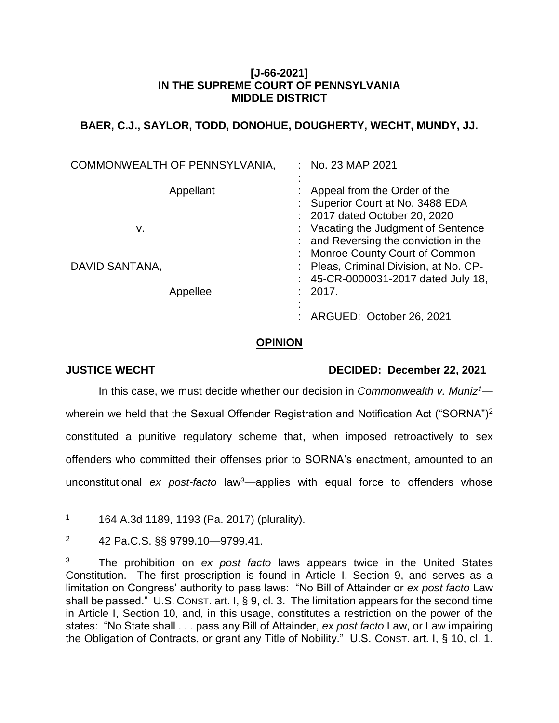# **[J-66-2021] IN THE SUPREME COURT OF PENNSYLVANIA MIDDLE DISTRICT**

# **BAER, C.J., SAYLOR, TODD, DONOHUE, DOUGHERTY, WECHT, MUNDY, JJ.**

|                | COMMONWEALTH OF PENNSYLVANIA, | $:$ No. 23 MAP 2021                                                                                              |
|----------------|-------------------------------|------------------------------------------------------------------------------------------------------------------|
|                | Appellant                     | Appeal from the Order of the<br>Superior Court at No. 3488 EDA<br>: 2017 dated October 20, 2020                  |
| v.             |                               | : Vacating the Judgment of Sentence<br>: and Reversing the conviction in the                                     |
| DAVID SANTANA, |                               | : Monroe County Court of Common<br>: Pleas, Criminal Division, at No. CP-<br>: 45-CR-0000031-2017 dated July 18, |
|                | Appellee                      | 2017.                                                                                                            |
|                |                               | ARGUED: October 26, 2021                                                                                         |

### **OPINION**

# **JUSTICE WECHT DECIDED: December 22, 2021**

In this case, we must decide whether our decision in *Commonwealth v. Muniz<sup>1</sup>* wherein we held that the Sexual Offender Registration and Notification Act ("SORNA")<sup>2</sup> constituted a punitive regulatory scheme that, when imposed retroactively to sex offenders who committed their offenses prior to SORNA's enactment, amounted to an unconstitutional *ex post-facto* law<sup>3</sup>—applies with equal force to offenders whose

 $\overline{a}$ <sup>1</sup> 164 A.3d 1189, 1193 (Pa. 2017) (plurality).

<sup>2</sup> 42 Pa.C.S. §§ 9799.10—9799.41.

<sup>3</sup> The prohibition on *ex post facto* laws appears twice in the United States Constitution. The first proscription is found in Article I, Section 9, and serves as a limitation on Congress' authority to pass laws: "No Bill of Attainder or *ex post facto* Law shall be passed." U.S. CONST. art. I, § 9, cl. 3. The limitation appears for the second time in Article I, Section 10, and, in this usage, constitutes a restriction on the power of the states: "No State shall . . . pass any Bill of Attainder, *ex post facto* Law, or Law impairing the Obligation of Contracts, or grant any Title of Nobility." U.S. CONST. art. I, § 10, cl. 1.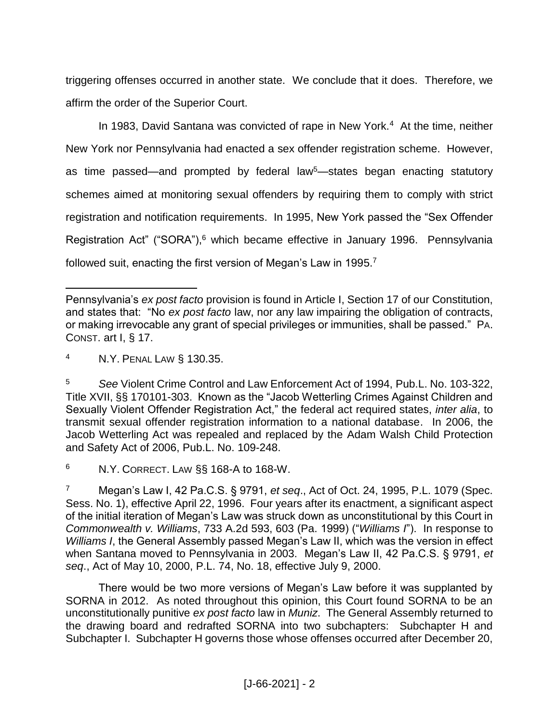triggering offenses occurred in another state. We conclude that it does. Therefore, we affirm the order of the Superior Court.

In 1983, David Santana was convicted of rape in New York.<sup>4</sup> At the time, neither New York nor Pennsylvania had enacted a sex offender registration scheme. However, as time passed—and prompted by federal law<sup>5</sup>—states began enacting statutory schemes aimed at monitoring sexual offenders by requiring them to comply with strict registration and notification requirements. In 1995, New York passed the "Sex Offender Registration Act" ("SORA"), <sup>6</sup> which became effective in January 1996. Pennsylvania followed suit, enacting the first version of Megan's Law in 1995.<sup>7</sup>

<sup>4</sup> N.Y. PENAL LAW § 130.35.

 $\overline{a}$ 

<sup>6</sup> N.Y. CORRECT. LAW §§ 168-A to 168-W.

There would be two more versions of Megan's Law before it was supplanted by SORNA in 2012. As noted throughout this opinion, this Court found SORNA to be an unconstitutionally punitive *ex post facto* law in *Muniz*. The General Assembly returned to the drawing board and redrafted SORNA into two subchapters: Subchapter H and Subchapter I. Subchapter H governs those whose offenses occurred after December 20,

Pennsylvania's *ex post facto* provision is found in Article I, Section 17 of our Constitution, and states that: "No *ex post facto* law, nor any law impairing the obligation of contracts, or making irrevocable any grant of special privileges or immunities, shall be passed." PA. CONST. art I, § 17.

<sup>5</sup> *See* Violent Crime Control and Law Enforcement Act of 1994, Pub.L. No. 103-322, Title XVII, §§ 170101-303. Known as the "Jacob Wetterling Crimes Against Children and Sexually Violent Offender Registration Act," the federal act required states, *inter alia*, to transmit sexual offender registration information to a national database. In 2006, the Jacob Wetterling Act was repealed and replaced by the Adam Walsh Child Protection and Safety Act of 2006, Pub.L. No. 109-248.

<sup>7</sup> Megan's Law I, 42 Pa.C.S. § 9791, *et seq*., Act of Oct. 24, 1995, P.L. 1079 (Spec. Sess. No. 1), effective April 22, 1996. Four years after its enactment, a significant aspect of the initial iteration of Megan's Law was struck down as unconstitutional by this Court in *Commonwealth v. Williams*, 733 A.2d 593, 603 (Pa. 1999) ("*Williams I*"). In response to *Williams I*, the General Assembly passed Megan's Law II, which was the version in effect when Santana moved to Pennsylvania in 2003. Megan's Law II, 42 Pa.C.S. § 9791, *et seq*., Act of May 10, 2000, P.L. 74, No. 18, effective July 9, 2000.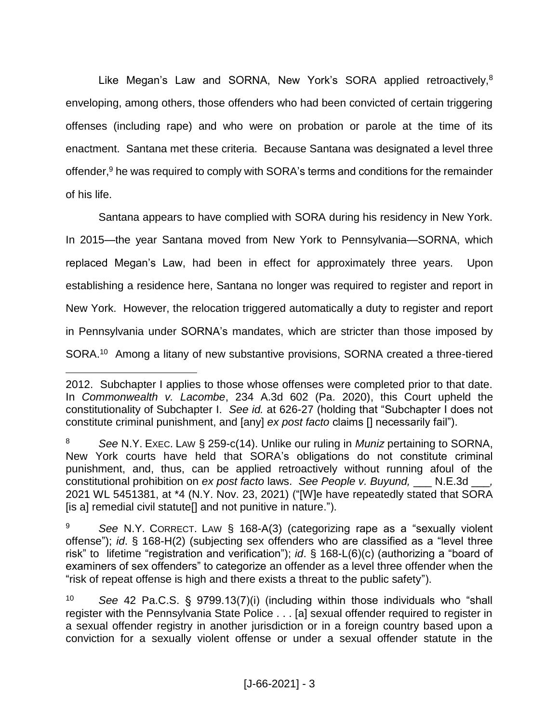Like Megan's Law and SORNA, New York's SORA applied retroactively,<sup>8</sup> enveloping, among others, those offenders who had been convicted of certain triggering offenses (including rape) and who were on probation or parole at the time of its enactment. Santana met these criteria. Because Santana was designated a level three offender, <sup>9</sup> he was required to comply with SORA's terms and conditions for the remainder of his life.

Santana appears to have complied with SORA during his residency in New York. In 2015—the year Santana moved from New York to Pennsylvania—SORNA, which replaced Megan's Law, had been in effect for approximately three years. Upon establishing a residence here, Santana no longer was required to register and report in New York. However, the relocation triggered automatically a duty to register and report in Pennsylvania under SORNA's mandates, which are stricter than those imposed by SORA.<sup>10</sup> Among a litany of new substantive provisions, SORNA created a three-tiered

<sup>2012.</sup> Subchapter I applies to those whose offenses were completed prior to that date. In *Commonwealth v. Lacombe*, 234 A.3d 602 (Pa. 2020), this Court upheld the constitutionality of Subchapter I. *See id.* at 626-27 (holding that "Subchapter I does not constitute criminal punishment, and [any] *ex post facto* claims [] necessarily fail").

<sup>8</sup> *See* N.Y. EXEC. LAW § 259-c(14). Unlike our ruling in *Muniz* pertaining to SORNA, New York courts have held that SORA's obligations do not constitute criminal punishment, and, thus, can be applied retroactively without running afoul of the constitutional prohibition on *ex post facto* laws. *See People v. Buyund,* \_\_\_ N.E.3d \_\_\_*,*  2021 WL 5451381, at \*4 (N.Y. Nov. 23, 2021) ("[W]e have repeatedly stated that SORA [is a] remedial civil statute[] and not punitive in nature.").

<sup>9</sup> *See* N.Y. CORRECT. LAW § 168-A(3) (categorizing rape as a "sexually violent offense"); *id*. § 168-H(2) (subjecting sex offenders who are classified as a "level three risk" to lifetime "registration and verification"); *id*. § 168-L(6)(c) (authorizing a "board of examiners of sex offenders" to categorize an offender as a level three offender when the "risk of repeat offense is high and there exists a threat to the public safety").

<sup>10</sup> *See* 42 Pa.C.S. § 9799.13(7)(i) (including within those individuals who "shall register with the Pennsylvania State Police . . . [a] sexual offender required to register in a sexual offender registry in another jurisdiction or in a foreign country based upon a conviction for a sexually violent offense or under a sexual offender statute in the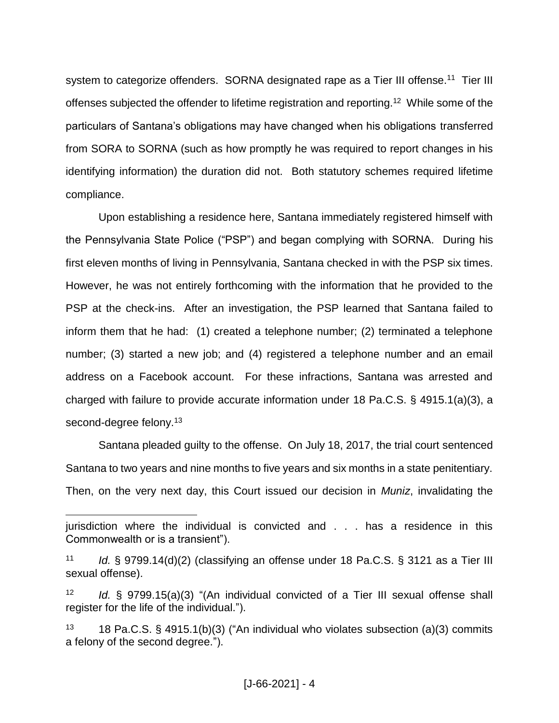system to categorize offenders. SORNA designated rape as a Tier III offense.<sup>11</sup> Tier III offenses subjected the offender to lifetime registration and reporting.<sup>12</sup> While some of the particulars of Santana's obligations may have changed when his obligations transferred from SORA to SORNA (such as how promptly he was required to report changes in his identifying information) the duration did not. Both statutory schemes required lifetime compliance.

Upon establishing a residence here, Santana immediately registered himself with the Pennsylvania State Police ("PSP") and began complying with SORNA. During his first eleven months of living in Pennsylvania, Santana checked in with the PSP six times. However, he was not entirely forthcoming with the information that he provided to the PSP at the check-ins. After an investigation, the PSP learned that Santana failed to inform them that he had: (1) created a telephone number; (2) terminated a telephone number; (3) started a new job; and (4) registered a telephone number and an email address on a Facebook account. For these infractions, Santana was arrested and charged with failure to provide accurate information under 18 Pa.C.S. § 4915.1(a)(3), a second-degree felony.<sup>13</sup>

Santana pleaded guilty to the offense. On July 18, 2017, the trial court sentenced Santana to two years and nine months to five years and six months in a state penitentiary. Then, on the very next day, this Court issued our decision in *Muniz*, invalidating the

jurisdiction where the individual is convicted and . . . has a residence in this Commonwealth or is a transient").

<sup>11</sup> *Id.* § 9799.14(d)(2) (classifying an offense under 18 Pa.C.S. § 3121 as a Tier III sexual offense).

<sup>12</sup> *Id.* § 9799.15(a)(3) "(An individual convicted of a Tier III sexual offense shall register for the life of the individual.").

<sup>13 18</sup> Pa.C.S. § 4915.1(b)(3) ("An individual who violates subsection (a)(3) commits a felony of the second degree.").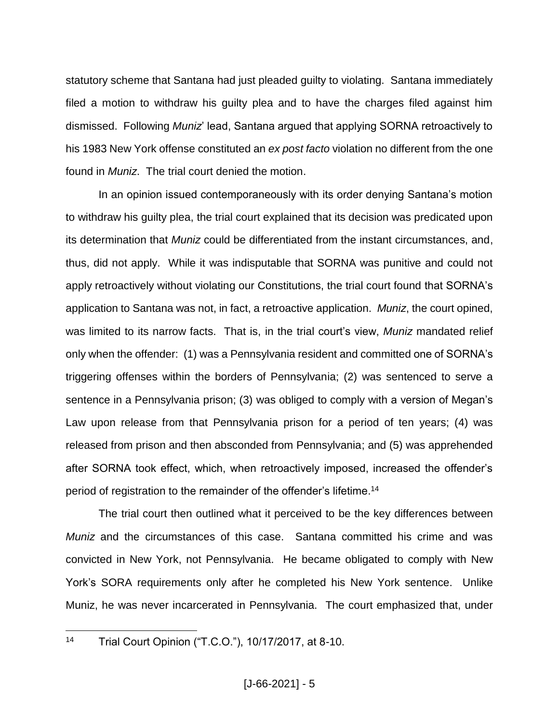statutory scheme that Santana had just pleaded guilty to violating. Santana immediately filed a motion to withdraw his guilty plea and to have the charges filed against him dismissed. Following *Muniz*' lead, Santana argued that applying SORNA retroactively to his 1983 New York offense constituted an *ex post facto* violation no different from the one found in *Muniz*. The trial court denied the motion.

In an opinion issued contemporaneously with its order denying Santana's motion to withdraw his guilty plea, the trial court explained that its decision was predicated upon its determination that *Muniz* could be differentiated from the instant circumstances, and, thus, did not apply. While it was indisputable that SORNA was punitive and could not apply retroactively without violating our Constitutions, the trial court found that SORNA's application to Santana was not, in fact, a retroactive application. *Muniz*, the court opined, was limited to its narrow facts. That is, in the trial court's view, *Muniz* mandated relief only when the offender: (1) was a Pennsylvania resident and committed one of SORNA's triggering offenses within the borders of Pennsylvania; (2) was sentenced to serve a sentence in a Pennsylvania prison; (3) was obliged to comply with a version of Megan's Law upon release from that Pennsylvania prison for a period of ten years; (4) was released from prison and then absconded from Pennsylvania; and (5) was apprehended after SORNA took effect, which, when retroactively imposed, increased the offender's period of registration to the remainder of the offender's lifetime. 14

The trial court then outlined what it perceived to be the key differences between *Muniz* and the circumstances of this case. Santana committed his crime and was convicted in New York, not Pennsylvania. He became obligated to comply with New York's SORA requirements only after he completed his New York sentence. Unlike Muniz, he was never incarcerated in Pennsylvania. The court emphasized that, under

 $14$ Trial Court Opinion ("T.C.O."), 10/17/2017, at 8-10.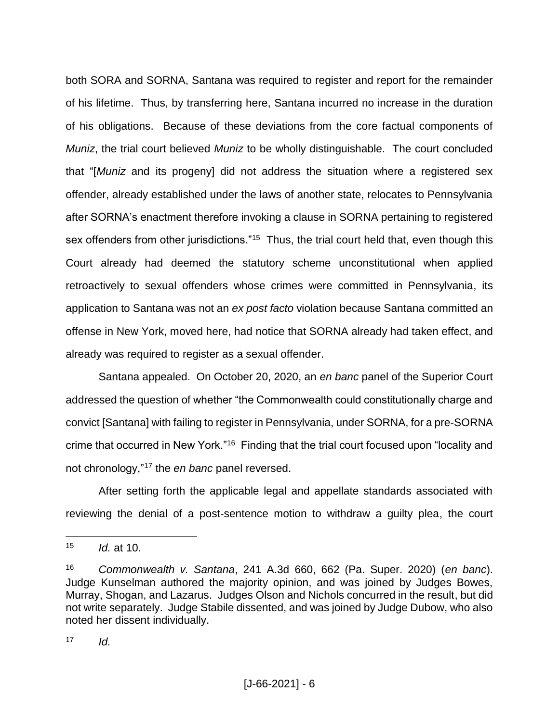both SORA and SORNA, Santana was required to register and report for the remainder of his lifetime. Thus, by transferring here, Santana incurred no increase in the duration of his obligations. Because of these deviations from the core factual components of *Muniz*, the trial court believed *Muniz* to be wholly distinguishable. The court concluded that "[*Muniz* and its progeny] did not address the situation where a registered sex offender, already established under the laws of another state, relocates to Pennsylvania after SORNA's enactment therefore invoking a clause in SORNA pertaining to registered sex offenders from other jurisdictions."<sup>15</sup> Thus, the trial court held that, even though this Court already had deemed the statutory scheme unconstitutional when applied retroactively to sexual offenders whose crimes were committed in Pennsylvania, its application to Santana was not an *ex post facto* violation because Santana committed an offense in New York, moved here, had notice that SORNA already had taken effect, and already was required to register as a sexual offender.

Santana appealed. On October 20, 2020, an *en banc* panel of the Superior Court addressed the question of whether "the Commonwealth could constitutionally charge and convict [Santana] with failing to register in Pennsylvania, under SORNA, for a pre-SORNA crime that occurred in New York."<sup>16</sup> Finding that the trial court focused upon "locality and not chronology,"<sup>17</sup> the *en banc* panel reversed.

After setting forth the applicable legal and appellate standards associated with reviewing the denial of a post-sentence motion to withdraw a guilty plea, the court

<sup>15</sup> *Id.* at 10.

<sup>16</sup> *Commonwealth v. Santana*, 241 A.3d 660, 662 (Pa. Super. 2020) (*en banc*). Judge Kunselman authored the majority opinion, and was joined by Judges Bowes, Murray, Shogan, and Lazarus. Judges Olson and Nichols concurred in the result, but did not write separately. Judge Stabile dissented, and was joined by Judge Dubow, who also noted her dissent individually.

 $17$  *Id.*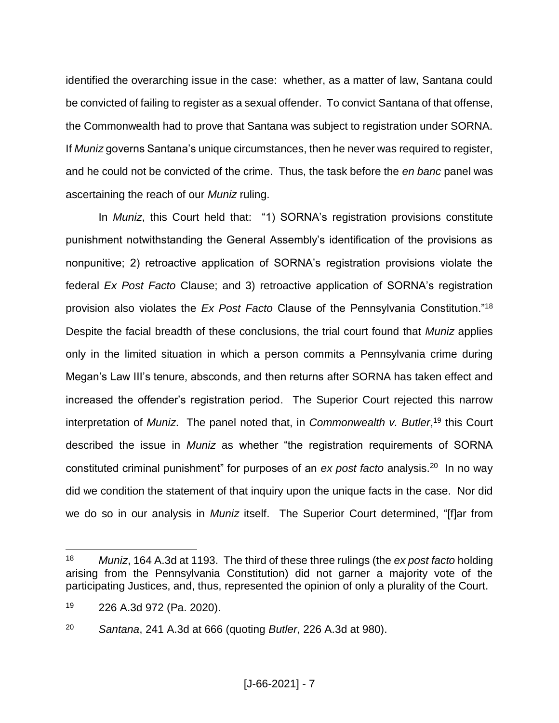identified the overarching issue in the case: whether, as a matter of law, Santana could be convicted of failing to register as a sexual offender. To convict Santana of that offense, the Commonwealth had to prove that Santana was subject to registration under SORNA. If *Muniz* governs Santana's unique circumstances, then he never was required to register, and he could not be convicted of the crime. Thus, the task before the *en banc* panel was ascertaining the reach of our *Muniz* ruling.

In *Muniz*, this Court held that: "1) SORNA's registration provisions constitute punishment notwithstanding the General Assembly's identification of the provisions as nonpunitive; 2) retroactive application of SORNA's registration provisions violate the federal *Ex Post Facto* Clause; and 3) retroactive application of SORNA's registration provision also violates the *Ex Post Facto* Clause of the Pennsylvania Constitution."<sup>18</sup> Despite the facial breadth of these conclusions, the trial court found that *Muniz* applies only in the limited situation in which a person commits a Pennsylvania crime during Megan's Law III's tenure, absconds, and then returns after SORNA has taken effect and increased the offender's registration period. The Superior Court rejected this narrow interpretation of *Muniz*. The panel noted that, in *Commonwealth v. Butler*, <sup>19</sup> this Court described the issue in *Muniz* as whether "the registration requirements of SORNA constituted criminal punishment" for purposes of an *ex post facto* analysis.<sup>20</sup> In no way did we condition the statement of that inquiry upon the unique facts in the case. Nor did we do so in our analysis in *Muniz* itself. The Superior Court determined, "[f]ar from

<sup>18</sup> *Muniz*, 164 A.3d at 1193. The third of these three rulings (the *ex post facto* holding arising from the Pennsylvania Constitution) did not garner a majority vote of the participating Justices, and, thus, represented the opinion of only a plurality of the Court.

<sup>19</sup> 226 A.3d 972 (Pa. 2020).

<sup>20</sup> *Santana*, 241 A.3d at 666 (quoting *Butler*, 226 A.3d at 980).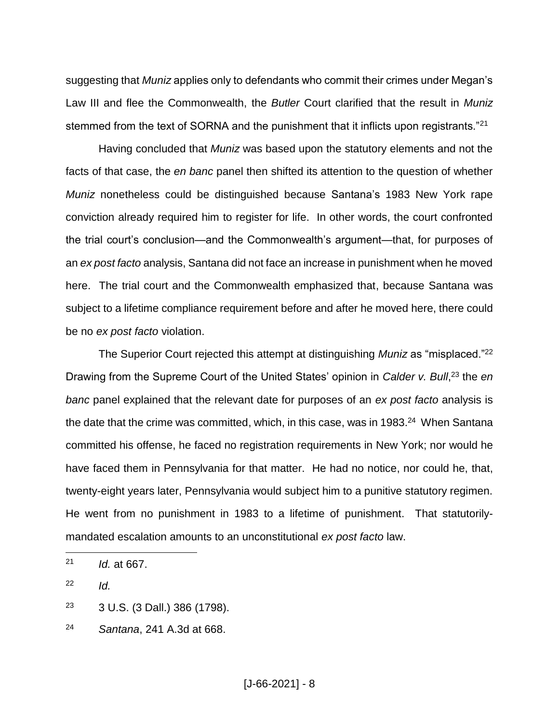suggesting that *Muniz* applies only to defendants who commit their crimes under Megan's Law III and flee the Commonwealth, the *Butler* Court clarified that the result in *Muniz* stemmed from the text of SORNA and the punishment that it inflicts upon registrants."<sup>21</sup>

Having concluded that *Muniz* was based upon the statutory elements and not the facts of that case, the *en banc* panel then shifted its attention to the question of whether *Muniz* nonetheless could be distinguished because Santana's 1983 New York rape conviction already required him to register for life. In other words, the court confronted the trial court's conclusion—and the Commonwealth's argument—that, for purposes of an *ex post facto* analysis, Santana did not face an increase in punishment when he moved here. The trial court and the Commonwealth emphasized that, because Santana was subject to a lifetime compliance requirement before and after he moved here, there could be no *ex post facto* violation.

The Superior Court rejected this attempt at distinguishing *Muniz* as "misplaced."<sup>22</sup> Drawing from the Supreme Court of the United States' opinion in *Calder v. Bull*, <sup>23</sup> the *en banc* panel explained that the relevant date for purposes of an *ex post facto* analysis is the date that the crime was committed, which, in this case, was in 1983.<sup>24</sup> When Santana committed his offense, he faced no registration requirements in New York; nor would he have faced them in Pennsylvania for that matter. He had no notice, nor could he, that, twenty-eight years later, Pennsylvania would subject him to a punitive statutory regimen. He went from no punishment in 1983 to a lifetime of punishment. That statutorilymandated escalation amounts to an unconstitutional *ex post facto* law.

<sup>22</sup> *Id.*

 $\overline{a}$ 

<sup>23</sup> 3 U.S. (3 Dall.) 386 (1798).

<sup>21</sup> *Id.* at 667.

<sup>24</sup> *Santana*, 241 A.3d at 668.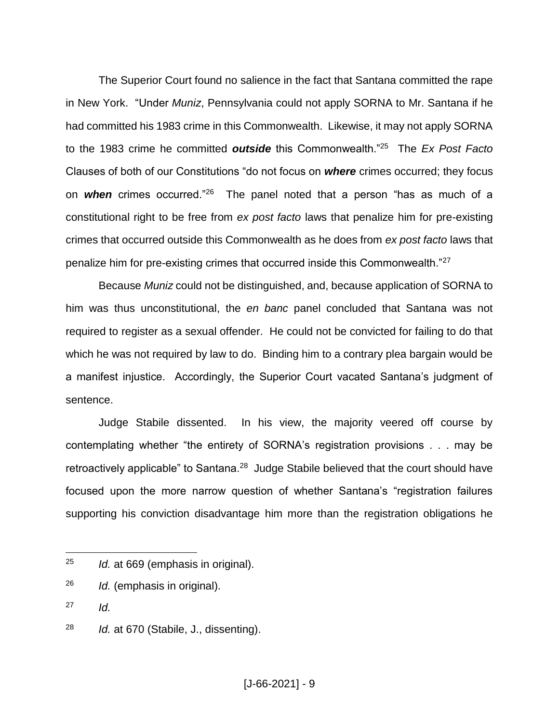The Superior Court found no salience in the fact that Santana committed the rape in New York. "Under *Muniz*, Pennsylvania could not apply SORNA to Mr. Santana if he had committed his 1983 crime in this Commonwealth. Likewise, it may not apply SORNA to the 1983 crime he committed *outside* this Commonwealth."<sup>25</sup> The *Ex Post Facto* Clauses of both of our Constitutions "do not focus on *where* crimes occurred; they focus on *when* crimes occurred."<sup>26</sup> The panel noted that a person "has as much of a constitutional right to be free from *ex post facto* laws that penalize him for pre-existing crimes that occurred outside this Commonwealth as he does from *ex post facto* laws that penalize him for pre-existing crimes that occurred inside this Commonwealth."<sup>27</sup>

Because *Muniz* could not be distinguished, and, because application of SORNA to him was thus unconstitutional, the *en banc* panel concluded that Santana was not required to register as a sexual offender. He could not be convicted for failing to do that which he was not required by law to do. Binding him to a contrary plea bargain would be a manifest injustice. Accordingly, the Superior Court vacated Santana's judgment of sentence.

Judge Stabile dissented. In his view, the majority veered off course by contemplating whether "the entirety of SORNA's registration provisions . . . may be retroactively applicable" to Santana.<sup>28</sup> Judge Stabile believed that the court should have focused upon the more narrow question of whether Santana's "registration failures supporting his conviction disadvantage him more than the registration obligations he

 $27$  *Id.* 

<sup>25</sup> *Id.* at 669 (emphasis in original).

<sup>26</sup> *Id.* (emphasis in original).

<sup>28</sup> *Id.* at 670 (Stabile, J., dissenting).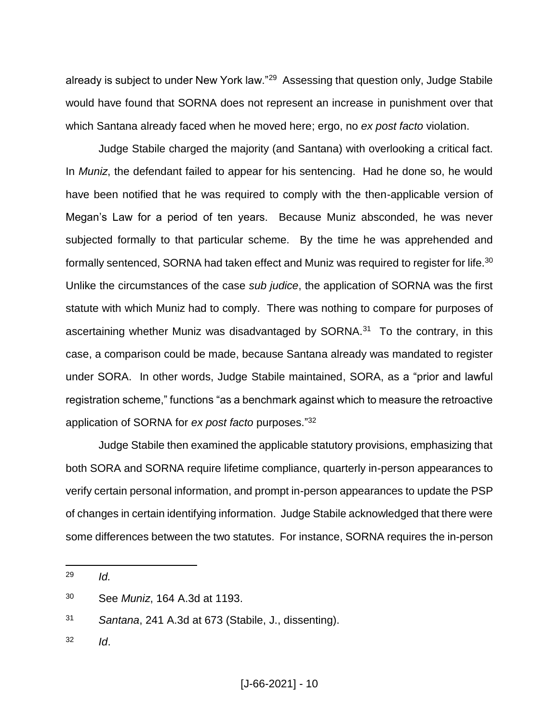already is subject to under New York law."<sup>29</sup> Assessing that question only, Judge Stabile would have found that SORNA does not represent an increase in punishment over that which Santana already faced when he moved here; ergo, no *ex post facto* violation.

Judge Stabile charged the majority (and Santana) with overlooking a critical fact. In *Muniz*, the defendant failed to appear for his sentencing. Had he done so, he would have been notified that he was required to comply with the then-applicable version of Megan's Law for a period of ten years. Because Muniz absconded, he was never subjected formally to that particular scheme. By the time he was apprehended and formally sentenced, SORNA had taken effect and Muniz was required to register for life.<sup>30</sup> Unlike the circumstances of the case *sub judice*, the application of SORNA was the first statute with which Muniz had to comply. There was nothing to compare for purposes of ascertaining whether Muniz was disadvantaged by SORNA.<sup>31</sup> To the contrary, in this case, a comparison could be made, because Santana already was mandated to register under SORA. In other words, Judge Stabile maintained, SORA, as a "prior and lawful registration scheme," functions "as a benchmark against which to measure the retroactive application of SORNA for *ex post facto* purposes." 32

Judge Stabile then examined the applicable statutory provisions, emphasizing that both SORA and SORNA require lifetime compliance, quarterly in-person appearances to verify certain personal information, and prompt in-person appearances to update the PSP of changes in certain identifying information. Judge Stabile acknowledged that there were some differences between the two statutes. For instance, SORNA requires the in-person

 $\overline{a}$ 

<sup>32</sup> *Id*.

<sup>29</sup> *Id.*

<sup>30</sup> See *Muniz*, 164 A.3d at 1193.

<sup>31</sup> *Santana*, 241 A.3d at 673 (Stabile, J., dissenting).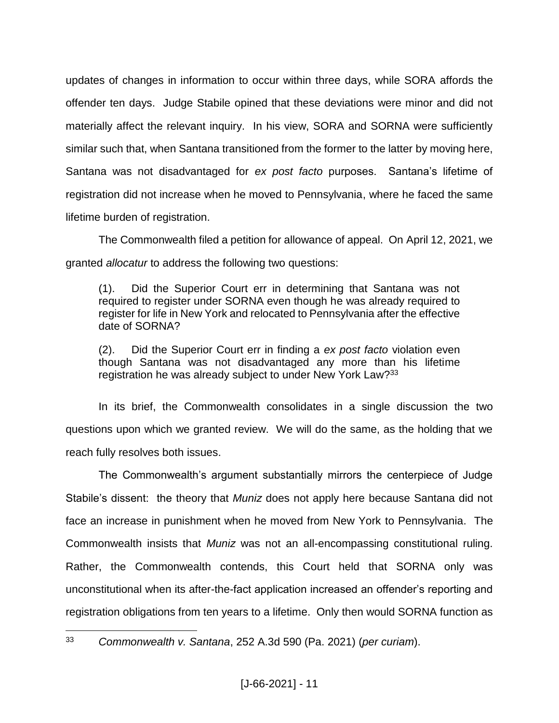updates of changes in information to occur within three days, while SORA affords the offender ten days. Judge Stabile opined that these deviations were minor and did not materially affect the relevant inquiry. In his view, SORA and SORNA were sufficiently similar such that, when Santana transitioned from the former to the latter by moving here, Santana was not disadvantaged for *ex post facto* purposes. Santana's lifetime of registration did not increase when he moved to Pennsylvania, where he faced the same lifetime burden of registration.

The Commonwealth filed a petition for allowance of appeal. On April 12, 2021, we granted *allocatur* to address the following two questions:

(1). Did the Superior Court err in determining that Santana was not required to register under SORNA even though he was already required to register for life in New York and relocated to Pennsylvania after the effective date of SORNA?

(2). Did the Superior Court err in finding a *ex post facto* violation even though Santana was not disadvantaged any more than his lifetime registration he was already subject to under New York Law?<sup>33</sup>

In its brief, the Commonwealth consolidates in a single discussion the two questions upon which we granted review. We will do the same, as the holding that we reach fully resolves both issues.

The Commonwealth's argument substantially mirrors the centerpiece of Judge Stabile's dissent: the theory that *Muniz* does not apply here because Santana did not face an increase in punishment when he moved from New York to Pennsylvania. The Commonwealth insists that *Muniz* was not an all-encompassing constitutional ruling. Rather, the Commonwealth contends, this Court held that SORNA only was unconstitutional when its after-the-fact application increased an offender's reporting and registration obligations from ten years to a lifetime. Only then would SORNA function as

<sup>33</sup> *Commonwealth v. Santana*, 252 A.3d 590 (Pa. 2021) (*per curiam*).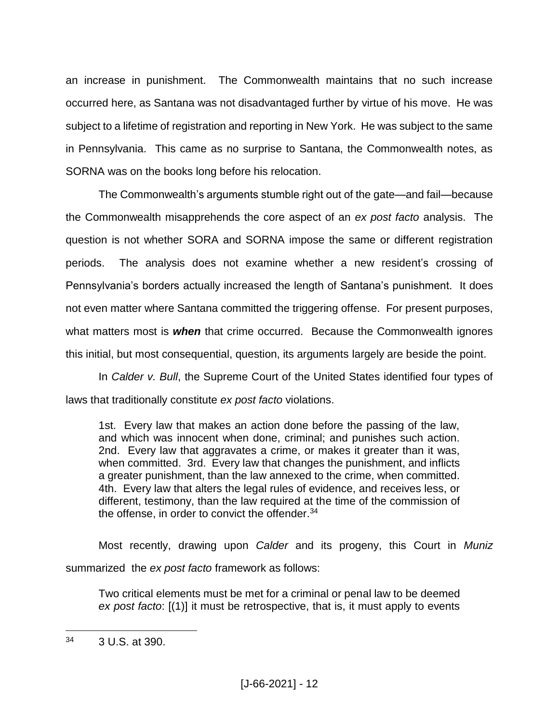an increase in punishment. The Commonwealth maintains that no such increase occurred here, as Santana was not disadvantaged further by virtue of his move. He was subject to a lifetime of registration and reporting in New York. He was subject to the same in Pennsylvania. This came as no surprise to Santana, the Commonwealth notes, as SORNA was on the books long before his relocation.

The Commonwealth's arguments stumble right out of the gate—and fail—because the Commonwealth misapprehends the core aspect of an *ex post facto* analysis. The question is not whether SORA and SORNA impose the same or different registration periods. The analysis does not examine whether a new resident's crossing of Pennsylvania's borders actually increased the length of Santana's punishment. It does not even matter where Santana committed the triggering offense. For present purposes, what matters most is *when* that crime occurred. Because the Commonwealth ignores this initial, but most consequential, question, its arguments largely are beside the point.

In *Calder v. Bull*, the Supreme Court of the United States identified four types of laws that traditionally constitute *ex post facto* violations.

1st. Every law that makes an action done before the passing of the law, and which was innocent when done, criminal; and punishes such action. 2nd. Every law that aggravates a crime, or makes it greater than it was, when committed. 3rd. Every law that changes the punishment, and inflicts a greater punishment, than the law annexed to the crime, when committed. 4th. Every law that alters the legal rules of evidence, and receives less, or different, testimony, than the law required at the time of the commission of the offense, in order to convict the offender.<sup>34</sup>

Most recently, drawing upon *Calder* and its progeny, this Court in *Muniz* summarized the *ex post facto* framework as follows:

Two critical elements must be met for a criminal or penal law to be deemed *ex post facto*: [(1)] it must be retrospective, that is, it must apply to events

<sup>34</sup> 3 U.S. at 390.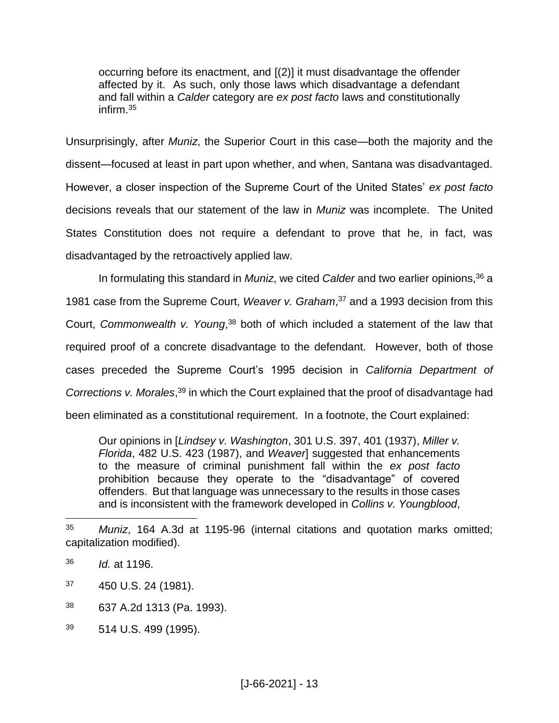occurring before its enactment, and [(2)] it must disadvantage the offender affected by it. As such, only those laws which disadvantage a defendant and fall within a *Calder* category are *ex post facto* laws and constitutionally infirm.<sup>35</sup>

Unsurprisingly, after *Muniz*, the Superior Court in this case—both the majority and the dissent—focused at least in part upon whether, and when, Santana was disadvantaged. However, a closer inspection of the Supreme Court of the United States' *ex post facto* decisions reveals that our statement of the law in *Muniz* was incomplete. The United States Constitution does not require a defendant to prove that he, in fact, was disadvantaged by the retroactively applied law.

In formulating this standard in *Muniz*, we cited *Calder* and two earlier opinions,<sup>36</sup> a 1981 case from the Supreme Court, *Weaver v. Graham*, <sup>37</sup> and a 1993 decision from this Court, *Commonwealth v. Young*, <sup>38</sup> both of which included a statement of the law that required proof of a concrete disadvantage to the defendant. However, both of those cases preceded the Supreme Court's 1995 decision in *California Department of Corrections v. Morales*, <sup>39</sup> in which the Court explained that the proof of disadvantage had been eliminated as a constitutional requirement. In a footnote, the Court explained:

Our opinions in [*Lindsey v. Washington*, 301 U.S. 397, 401 (1937), *Miller v. Florida*, 482 U.S. 423 (1987), and *Weaver*] suggested that enhancements to the measure of criminal punishment fall within the *ex post facto* prohibition because they operate to the "disadvantage" of covered offenders. But that language was unnecessary to the results in those cases and is inconsistent with the framework developed in *Collins v. Youngblood*,

- $37$  450 U.S. 24 (1981).
- <sup>38</sup> 637 A.2d 1313 (Pa. 1993).
- $39$  514 U.S. 499 (1995).

<sup>35</sup> *Muniz*, 164 A.3d at 1195-96 (internal citations and quotation marks omitted; capitalization modified).

<sup>36</sup> *Id.* at 1196.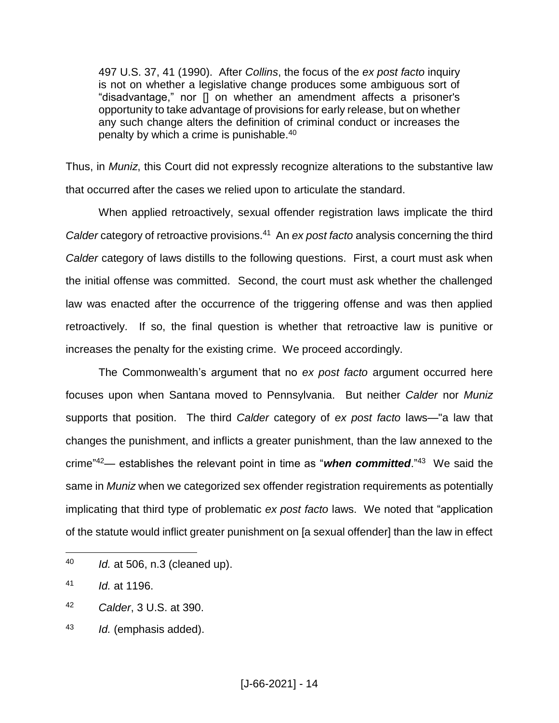497 U.S. 37, 41 (1990). After *Collins*, the focus of the *ex post facto* inquiry is not on whether a legislative change produces some ambiguous sort of "disadvantage," nor [] on whether an amendment affects a prisoner's opportunity to take advantage of provisions for early release, but on whether any such change alters the definition of criminal conduct or increases the penalty by which a crime is punishable.<sup>40</sup>

Thus, in *Muniz*, this Court did not expressly recognize alterations to the substantive law that occurred after the cases we relied upon to articulate the standard.

When applied retroactively, sexual offender registration laws implicate the third Calder category of retroactive provisions.<sup>41</sup> An *ex post facto* analysis concerning the third *Calder* category of laws distills to the following questions. First, a court must ask when the initial offense was committed. Second, the court must ask whether the challenged law was enacted after the occurrence of the triggering offense and was then applied retroactively. If so, the final question is whether that retroactive law is punitive or increases the penalty for the existing crime. We proceed accordingly.

The Commonwealth's argument that no *ex post facto* argument occurred here focuses upon when Santana moved to Pennsylvania. But neither *Calder* nor *Muniz* supports that position. The third *Calder* category of *ex post facto* laws—"a law that changes the punishment, and inflicts a greater punishment, than the law annexed to the crime"<sup>42</sup>— establishes the relevant point in time as "**when committed**."<sup>43</sup> We said the same in *Muniz* when we categorized sex offender registration requirements as potentially implicating that third type of problematic *ex post facto* laws. We noted that "application of the statute would inflict greater punishment on [a sexual offender] than the law in effect

<sup>40</sup> *Id.* at 506, n.3 (cleaned up).

<sup>41</sup> *Id.* at 1196.

<sup>42</sup> *Calder*, 3 U.S. at 390.

<sup>43</sup> *Id.* (emphasis added).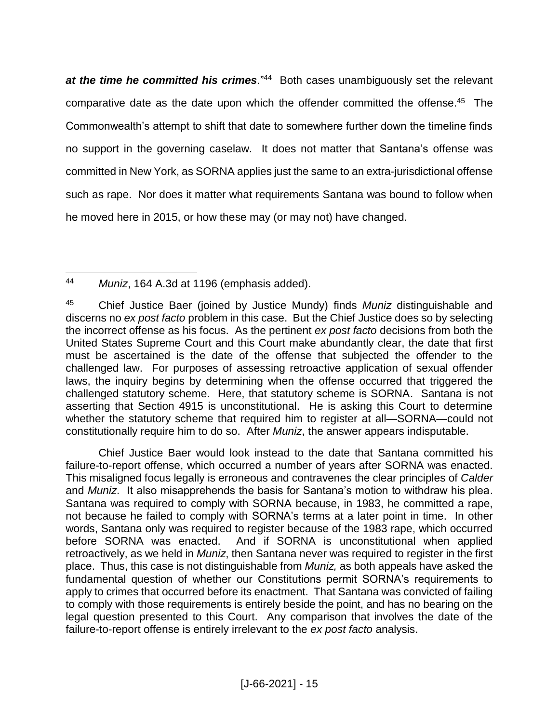at the time he committed his crimes.<sup>"44</sup> Both cases unambiguously set the relevant comparative date as the date upon which the offender committed the offense. 45 The Commonwealth's attempt to shift that date to somewhere further down the timeline finds no support in the governing caselaw. It does not matter that Santana's offense was committed in New York, as SORNA applies just the same to an extra-jurisdictional offense such as rape. Nor does it matter what requirements Santana was bound to follow when he moved here in 2015, or how these may (or may not) have changed.

Chief Justice Baer would look instead to the date that Santana committed his failure-to-report offense, which occurred a number of years after SORNA was enacted. This misaligned focus legally is erroneous and contravenes the clear principles of *Calder* and *Muniz*. It also misapprehends the basis for Santana's motion to withdraw his plea. Santana was required to comply with SORNA because, in 1983, he committed a rape, not because he failed to comply with SORNA's terms at a later point in time. In other words, Santana only was required to register because of the 1983 rape, which occurred before SORNA was enacted. And if SORNA is unconstitutional when applied retroactively, as we held in *Muniz*, then Santana never was required to register in the first place. Thus, this case is not distinguishable from *Muniz,* as both appeals have asked the fundamental question of whether our Constitutions permit SORNA's requirements to apply to crimes that occurred before its enactment. That Santana was convicted of failing to comply with those requirements is entirely beside the point, and has no bearing on the legal question presented to this Court. Any comparison that involves the date of the failure-to-report offense is entirely irrelevant to the *ex post facto* analysis.

 $\overline{a}$ <sup>44</sup> *Muniz*, 164 A.3d at 1196 (emphasis added).

<sup>45</sup> Chief Justice Baer (joined by Justice Mundy) finds *Muniz* distinguishable and discerns no *ex post facto* problem in this case. But the Chief Justice does so by selecting the incorrect offense as his focus. As the pertinent *ex post facto* decisions from both the United States Supreme Court and this Court make abundantly clear, the date that first must be ascertained is the date of the offense that subjected the offender to the challenged law. For purposes of assessing retroactive application of sexual offender laws, the inquiry begins by determining when the offense occurred that triggered the challenged statutory scheme. Here, that statutory scheme is SORNA. Santana is not asserting that Section 4915 is unconstitutional. He is asking this Court to determine whether the statutory scheme that required him to register at all—SORNA—could not constitutionally require him to do so. After *Muniz*, the answer appears indisputable.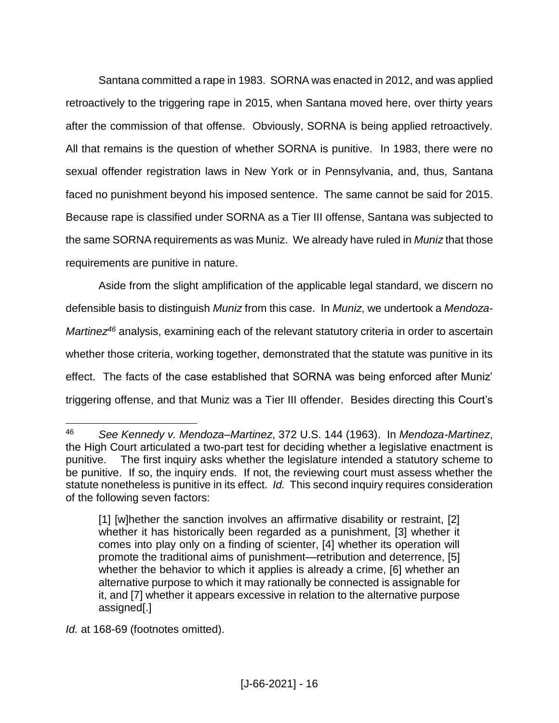Santana committed a rape in 1983. SORNA was enacted in 2012, and was applied retroactively to the triggering rape in 2015, when Santana moved here, over thirty years after the commission of that offense. Obviously, SORNA is being applied retroactively. All that remains is the question of whether SORNA is punitive. In 1983, there were no sexual offender registration laws in New York or in Pennsylvania, and, thus, Santana faced no punishment beyond his imposed sentence. The same cannot be said for 2015. Because rape is classified under SORNA as a Tier III offense, Santana was subjected to the same SORNA requirements as was Muniz. We already have ruled in *Muniz* that those requirements are punitive in nature.

Aside from the slight amplification of the applicable legal standard, we discern no defensible basis to distinguish *Muniz* from this case. In *Muniz*, we undertook a *Mendoza-Martinez<sup>46</sup>* analysis, examining each of the relevant statutory criteria in order to ascertain whether those criteria, working together, demonstrated that the statute was punitive in its effect. The facts of the case established that SORNA was being enforced after Muniz' triggering offense, and that Muniz was a Tier III offender. Besides directing this Court's

*Id.* at 168-69 (footnotes omitted).

<sup>46</sup> *See Kennedy v. Mendoza–Martinez*, 372 U.S. 144 (1963). In *Mendoza-Martinez*, the High Court articulated a two-part test for deciding whether a legislative enactment is punitive. The first inquiry asks whether the legislature intended a statutory scheme to be punitive. If so, the inquiry ends. If not, the reviewing court must assess whether the statute nonetheless is punitive in its effect. *Id.* This second inquiry requires consideration of the following seven factors:

<sup>[1] [</sup>w]hether the sanction involves an affirmative disability or restraint, [2] whether it has historically been regarded as a punishment, [3] whether it comes into play only on a finding of scienter, [4] whether its operation will promote the traditional aims of punishment—retribution and deterrence, [5] whether the behavior to which it applies is already a crime, [6] whether an alternative purpose to which it may rationally be connected is assignable for it, and [7] whether it appears excessive in relation to the alternative purpose assigned[.]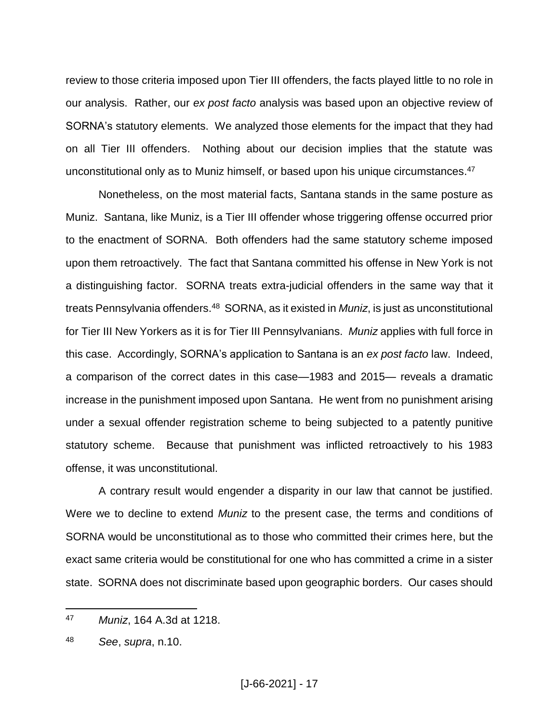review to those criteria imposed upon Tier III offenders, the facts played little to no role in our analysis. Rather, our *ex post facto* analysis was based upon an objective review of SORNA's statutory elements. We analyzed those elements for the impact that they had on all Tier III offenders. Nothing about our decision implies that the statute was unconstitutional only as to Muniz himself, or based upon his unique circumstances. 47

Nonetheless, on the most material facts, Santana stands in the same posture as Muniz. Santana, like Muniz, is a Tier III offender whose triggering offense occurred prior to the enactment of SORNA. Both offenders had the same statutory scheme imposed upon them retroactively. The fact that Santana committed his offense in New York is not a distinguishing factor. SORNA treats extra-judicial offenders in the same way that it treats Pennsylvania offenders.<sup>48</sup> SORNA, as it existed in *Muniz*, is just as unconstitutional for Tier III New Yorkers as it is for Tier III Pennsylvanians. *Muniz* applies with full force in this case. Accordingly, SORNA's application to Santana is an *ex post facto* law. Indeed, a comparison of the correct dates in this case—1983 and 2015— reveals a dramatic increase in the punishment imposed upon Santana. He went from no punishment arising under a sexual offender registration scheme to being subjected to a patently punitive statutory scheme. Because that punishment was inflicted retroactively to his 1983 offense, it was unconstitutional.

A contrary result would engender a disparity in our law that cannot be justified. Were we to decline to extend *Muniz* to the present case, the terms and conditions of SORNA would be unconstitutional as to those who committed their crimes here, but the exact same criteria would be constitutional for one who has committed a crime in a sister state. SORNA does not discriminate based upon geographic borders. Our cases should

<sup>47</sup> *Muniz*, 164 A.3d at 1218.

<sup>48</sup> *See*, *supra*, n.10.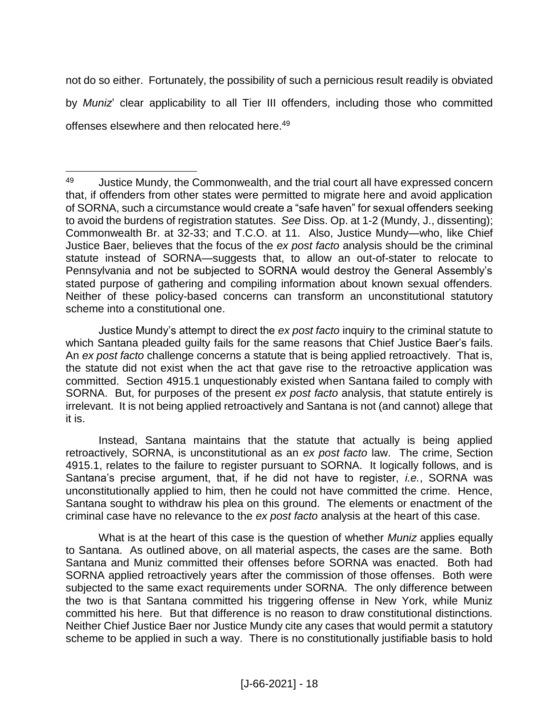not do so either. Fortunately, the possibility of such a pernicious result readily is obviated by *Muniz*' clear applicability to all Tier III offenders, including those who committed offenses elsewhere and then relocated here.<sup>49</sup>

 $\overline{a}$ 

Justice Mundy's attempt to direct the *ex post facto* inquiry to the criminal statute to which Santana pleaded guilty fails for the same reasons that Chief Justice Baer's fails. An *ex post facto* challenge concerns a statute that is being applied retroactively. That is, the statute did not exist when the act that gave rise to the retroactive application was committed. Section 4915.1 unquestionably existed when Santana failed to comply with SORNA. But, for purposes of the present *ex post facto* analysis, that statute entirely is irrelevant. It is not being applied retroactively and Santana is not (and cannot) allege that it is.

Instead, Santana maintains that the statute that actually is being applied retroactively, SORNA, is unconstitutional as an *ex post facto* law. The crime, Section 4915.1, relates to the failure to register pursuant to SORNA. It logically follows, and is Santana's precise argument, that, if he did not have to register, *i.e.*, SORNA was unconstitutionally applied to him, then he could not have committed the crime. Hence, Santana sought to withdraw his plea on this ground. The elements or enactment of the criminal case have no relevance to the *ex post facto* analysis at the heart of this case.

What is at the heart of this case is the question of whether *Muniz* applies equally to Santana. As outlined above, on all material aspects, the cases are the same. Both Santana and Muniz committed their offenses before SORNA was enacted. Both had SORNA applied retroactively years after the commission of those offenses. Both were subjected to the same exact requirements under SORNA. The only difference between the two is that Santana committed his triggering offense in New York, while Muniz committed his here. But that difference is no reason to draw constitutional distinctions. Neither Chief Justice Baer nor Justice Mundy cite any cases that would permit a statutory scheme to be applied in such a way. There is no constitutionally justifiable basis to hold

<sup>49</sup> Justice Mundy, the Commonwealth, and the trial court all have expressed concern that, if offenders from other states were permitted to migrate here and avoid application of SORNA, such a circumstance would create a "safe haven" for sexual offenders seeking to avoid the burdens of registration statutes. *See* Diss. Op. at 1-2 (Mundy, J., dissenting); Commonwealth Br. at 32-33; and T.C.O. at 11. Also, Justice Mundy—who, like Chief Justice Baer, believes that the focus of the *ex post facto* analysis should be the criminal statute instead of SORNA—suggests that, to allow an out-of-stater to relocate to Pennsylvania and not be subjected to SORNA would destroy the General Assembly's stated purpose of gathering and compiling information about known sexual offenders. Neither of these policy-based concerns can transform an unconstitutional statutory scheme into a constitutional one.